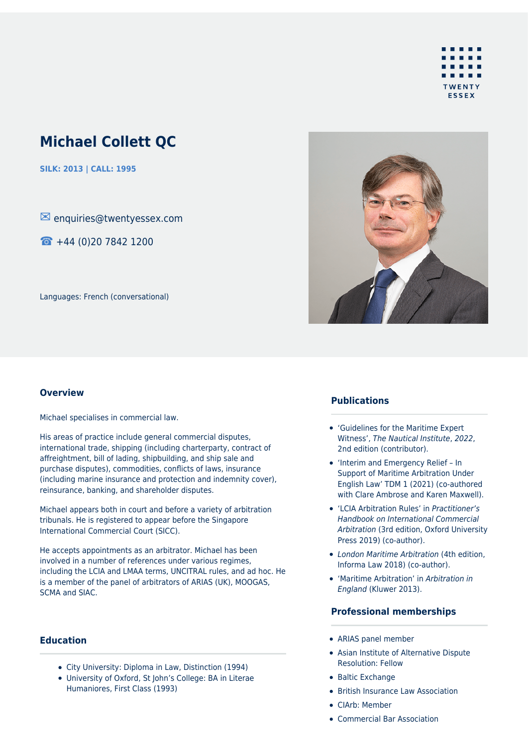

# **Michael Collett QC**

**SILK: 2013 | CALL: 1995**

✉ enquiries@twentyessex.com

☎ +44 (0)20 7842 1200

Languages: French (conversational)



#### **Overview**

Michael specialises in commercial law.

His areas of practice include general commercial disputes, international trade, shipping (including charterparty, contract of affreightment, bill of lading, shipbuilding, and ship sale and purchase disputes), commodities, conflicts of laws, insurance (including marine insurance and protection and indemnity cover), reinsurance, banking, and shareholder disputes.

Michael appears both in court and before a variety of arbitration tribunals. He is registered to appear before the Singapore International Commercial Court (SICC).

He accepts appointments as an arbitrator. Michael has been involved in a number of references under various regimes, including the LCIA and LMAA terms, UNCITRAL rules, and ad hoc. He is a member of the panel of arbitrators of ARIAS (UK), MOOGAS, SCMA and SIAC.

## **Education**

- City University: Diploma in Law, Distinction (1994)
- University of Oxford, St John's College: BA in Literae Humaniores, First Class (1993)

## **Publications**

- 'Guidelines for the Maritime Expert Witness', The Nautical Institute, 2022, 2nd edition (contributor).
- 'Interim and Emergency Relief In Support of Maritime Arbitration Under English Law' TDM 1 (2021) (co-authored with Clare Ambrose and Karen Maxwell).
- 'LCIA Arbitration Rules' in Practitioner's Handbook on International Commercial Arbitration (3rd edition, Oxford University Press 2019) (co-author).
- London Maritime Arbitration (4th edition, Informa Law 2018) (co-author).
- 'Maritime Arbitration' in Arbitration in England (Kluwer 2013).

#### **Professional memberships**

- ARIAS panel member
- Asian Institute of Alternative Dispute Resolution: Fellow
- Baltic Exchange
- British Insurance Law Association
- CIArb: Member
- Commercial Bar Association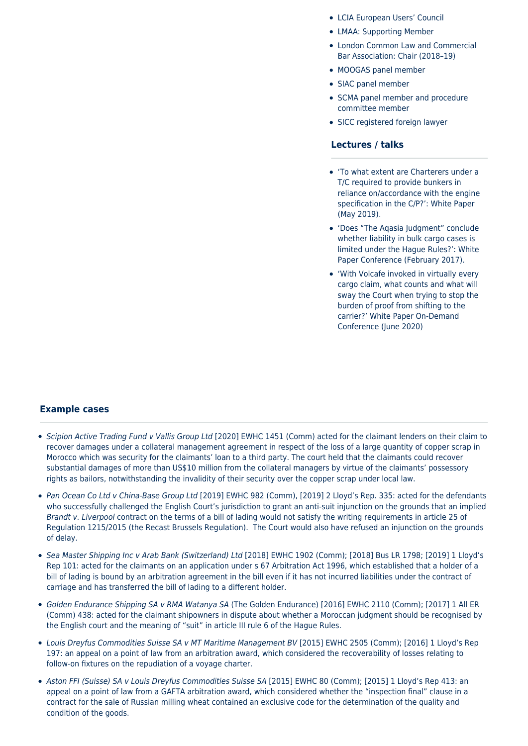- LCIA European Users' Council
- LMAA: Supporting Member
- London Common Law and Commercial Bar Association: Chair (2018–19)
- MOOGAS panel member
- SIAC panel member
- SCMA panel member and procedure committee member
- SICC registered foreign lawyer

## **Lectures / talks**

- 'To what extent are Charterers under a T/C required to provide bunkers in reliance on/accordance with the engine specification in the C/P?': White Paper (May 2019).
- 'Does "The Aqasia Judgment" conclude whether liability in bulk cargo cases is limited under the Hague Rules?': White Paper Conference (February 2017).
- 'With Volcafe invoked in virtually every cargo claim, what counts and what will sway the Court when trying to stop the burden of proof from shifting to the carrier?' White Paper On-Demand Conference (June 2020)

#### **Example cases**

- Scipion Active Trading Fund v Vallis Group Ltd [2020] EWHC 1451 (Comm) acted for the claimant lenders on their claim to recover damages under a collateral management agreement in respect of the loss of a large quantity of copper scrap in Morocco which was security for the claimants' loan to a third party. The court held that the claimants could recover substantial damages of more than US\$10 million from the collateral managers by virtue of the claimants' possessory rights as bailors, notwithstanding the invalidity of their security over the copper scrap under local law.
- Pan Ocean Co Ltd v China-Base Group Ltd [2019] EWHC 982 (Comm), [2019] 2 Lloyd's Rep. 335: acted for the defendants who successfully challenged the English Court's jurisdiction to grant an anti-suit injunction on the grounds that an implied Brandt v. Liverpool contract on the terms of a bill of lading would not satisfy the writing requirements in article 25 of Regulation 1215/2015 (the Recast Brussels Regulation). The Court would also have refused an injunction on the grounds of delay.
- Sea Master Shipping Inc v Arab Bank (Switzerland) Ltd [2018] EWHC 1902 (Comm); [2018] Bus LR 1798; [2019] 1 Lloyd's Rep 101: acted for the claimants on an application under s 67 Arbitration Act 1996, which established that a holder of a bill of lading is bound by an arbitration agreement in the bill even if it has not incurred liabilities under the contract of carriage and has transferred the bill of lading to a different holder.
- Golden Endurance Shipping SA v RMA Watanya SA (The Golden Endurance) [2016] EWHC 2110 (Comm); [2017] 1 All ER (Comm) 438: acted for the claimant shipowners in dispute about whether a Moroccan judgment should be recognised by the English court and the meaning of "suit" in article III rule 6 of the Hague Rules.
- Louis Dreyfus Commodities Suisse SA v MT Maritime Management BV [2015] EWHC 2505 (Comm); [2016] 1 Lloyd's Rep 197: an appeal on a point of law from an arbitration award, which considered the recoverability of losses relating to follow-on fixtures on the repudiation of a voyage charter.
- Aston FFI (Suisse) SA v Louis Dreyfus Commodities Suisse SA [2015] EWHC 80 (Comm); [2015] 1 Lloyd's Rep 413: an appeal on a point of law from a GAFTA arbitration award, which considered whether the "inspection final" clause in a contract for the sale of Russian milling wheat contained an exclusive code for the determination of the quality and condition of the goods.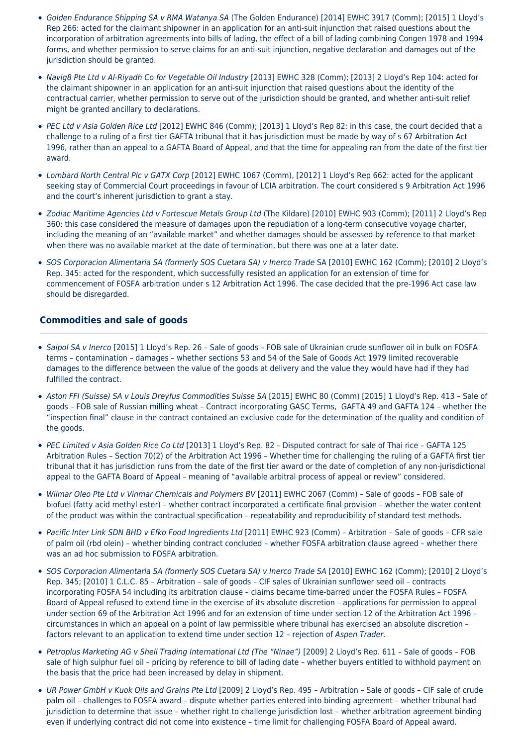- Golden Endurance Shipping SA v RMA Watanya SA (The Golden Endurance) [2014] EWHC 3917 (Comm); [2015] 1 Lloyd's Rep 266: acted for the claimant shipowner in an application for an anti-suit injunction that raised questions about the incorporation of arbitration agreements into bills of lading, the effect of a bill of lading combining Congen 1978 and 1994 forms, and whether permission to serve claims for an anti-suit injunction, negative declaration and damages out of the jurisdiction should be granted.
- Navig8 Pte Ltd v Al-Riyadh Co for Vegetable Oil Industry [2013] EWHC 328 (Comm); [2013] 2 Lloyd's Rep 104: acted for the claimant shipowner in an application for an anti-suit injunction that raised questions about the identity of the contractual carrier, whether permission to serve out of the jurisdiction should be granted, and whether anti-suit relief might be granted ancillary to declarations.
- PEC Ltd v Asia Golden Rice Ltd [2012] EWHC 846 (Comm); [2013] 1 Lloyd's Rep 82: in this case, the court decided that a challenge to a ruling of a first tier GAFTA tribunal that it has jurisdiction must be made by way of s 67 Arbitration Act 1996, rather than an appeal to a GAFTA Board of Appeal, and that the time for appealing ran from the date of the first tier award.
- Lombard North Central Plc v GATX Corp [2012] EWHC 1067 (Comm), [2012] 1 Lloyd's Rep 662: acted for the applicant seeking stay of Commercial Court proceedings in favour of LCIA arbitration. The court considered s 9 Arbitration Act 1996 and the court's inherent jurisdiction to grant a stay.
- Zodiac Maritime Agencies Ltd v Fortescue Metals Group Ltd (The Kildare) [2010] EWHC 903 (Comm); [2011] 2 Lloyd's Rep 360: this case considered the measure of damages upon the repudiation of a long-term consecutive voyage charter, including the meaning of an "available market" and whether damages should be assessed by reference to that market when there was no available market at the date of termination, but there was one at a later date.
- SOS Corporacion Alimentaria SA (formerly SOS Cuetara SA) v Inerco Trade SA [2010] EWHC 162 (Comm); [2010] 2 Lloyd's Rep. 345: acted for the respondent, which successfully resisted an application for an extension of time for commencement of FOSFA arbitration under s 12 Arbitration Act 1996. The case decided that the pre-1996 Act case law should be disregarded.

## **Commodities and sale of goods**

- Saipol SA v Inerco [2015] 1 Lloyd's Rep. 26 Sale of goods FOB sale of Ukrainian crude sunflower oil in bulk on FOSFA terms – contamination – damages – whether sections 53 and 54 of the Sale of Goods Act 1979 limited recoverable damages to the difference between the value of the goods at delivery and the value they would have had if they had fulfilled the contract.
- Aston FFI (Suisse) SA v Louis Dreyfus Commodities Suisse SA [2015] EWHC 80 (Comm) [2015] 1 Lloyd's Rep. 413 Sale of goods – FOB sale of Russian milling wheat – Contract incorporating GASC Terms, GAFTA 49 and GAFTA 124 – whether the "inspection final" clause in the contract contained an exclusive code for the determination of the quality and condition of the goods.
- PEC Limited v Asia Golden Rice Co Ltd [2013] 1 Lloyd's Rep. 82 Disputed contract for sale of Thai rice GAFTA 125 Arbitration Rules – Section 70(2) of the Arbitration Act 1996 – Whether time for challenging the ruling of a GAFTA first tier tribunal that it has jurisdiction runs from the date of the first tier award or the date of completion of any non-jurisdictional appeal to the GAFTA Board of Appeal – meaning of "available arbitral process of appeal or review" considered.
- Wilmar Oleo Pte Ltd v Vinmar Chemicals and Polymers BV [2011] EWHC 2067 (Comm) Sale of goods FOB sale of biofuel (fatty acid methyl ester) – whether contract incorporated a certificate final provision – whether the water content of the product was within the contractual specification – repeatability and reproducibility of standard test methods.
- Pacific Inter Link SDN BHD v Efko Food Ingredients Ltd [2011] EWHC 923 (Comm) Arbitration Sale of goods CFR sale of palm oil (rbd olein) – whether binding contract concluded – whether FOSFA arbitration clause agreed – whether there was an ad hoc submission to FOSFA arbitration.
- SOS Corporacion Alimentaria SA (formerly SOS Cuetara SA) v Inerco Trade SA [2010] EWHC 162 (Comm); [2010] 2 Lloyd's Rep. 345; [2010] 1 C.L.C. 85 – Arbitration – sale of goods – CIF sales of Ukrainian sunflower seed oil – contracts incorporating FOSFA 54 including its arbitration clause – claims became time-barred under the FOSFA Rules – FOSFA Board of Appeal refused to extend time in the exercise of its absolute discretion – applications for permission to appeal under section 69 of the Arbitration Act 1996 and for an extension of time under section 12 of the Arbitration Act 1996 – circumstances in which an appeal on a point of law permissible where tribunal has exercised an absolute discretion – factors relevant to an application to extend time under section 12 - rejection of Aspen Trader.
- Petroplus Marketing AG v Shell Trading International Ltd (The "Ninae") [2009] 2 Lloyd's Rep. 611 Sale of goods FOB sale of high sulphur fuel oil – pricing by reference to bill of lading date – whether buyers entitled to withhold payment on the basis that the price had been increased by delay in shipment.
- UR Power GmbH v Kuok Oils and Grains Pte Ltd [2009] 2 Lloyd's Rep. 495 Arbitration Sale of goods CIF sale of crude palm oil – challenges to FOSFA award – dispute whether parties entered into binding agreement – whether tribunal had jurisdiction to determine that issue – whether right to challenge jurisdiction lost – whether arbitration agreement binding even if underlying contract did not come into existence – time limit for challenging FOSFA Board of Appeal award.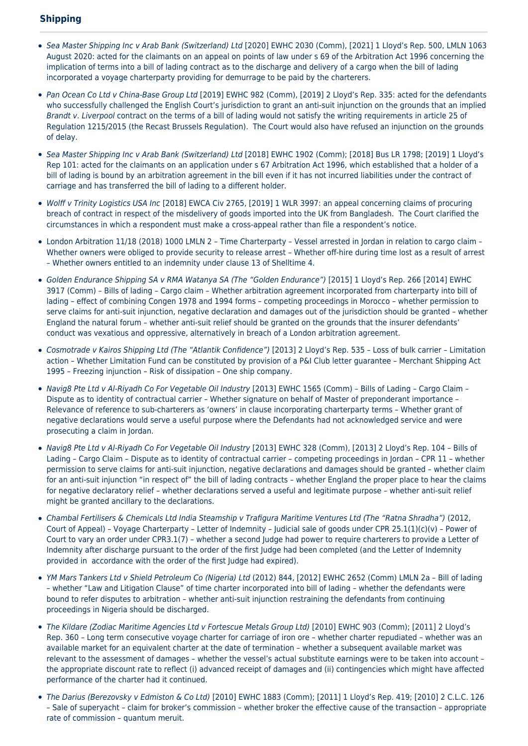## **Shipping**

- Sea Master Shipping Inc v Arab Bank (Switzerland) Ltd [2020] EWHC 2030 (Comm), [2021] 1 Lloyd's Rep. 500, LMLN 1063 August 2020: acted for the claimants on an appeal on points of law under s 69 of the Arbitration Act 1996 concerning the implication of terms into a bill of lading contract as to the discharge and delivery of a cargo when the bill of lading incorporated a voyage charterparty providing for demurrage to be paid by the charterers.
- Pan Ocean Co Ltd v China-Base Group Ltd [2019] EWHC 982 (Comm), [2019] 2 Lloyd's Rep. 335; acted for the defendants who successfully challenged the English Court's jurisdiction to grant an anti-suit injunction on the grounds that an implied Brandt v. Liverpool contract on the terms of a bill of lading would not satisfy the writing requirements in article 25 of Regulation 1215/2015 (the Recast Brussels Regulation). The Court would also have refused an injunction on the grounds of delay.
- Sea Master Shipping Inc v Arab Bank (Switzerland) Ltd [2018] EWHC 1902 (Comm); [2018] Bus LR 1798; [2019] 1 Lloyd's Rep 101: acted for the claimants on an application under s 67 Arbitration Act 1996, which established that a holder of a bill of lading is bound by an arbitration agreement in the bill even if it has not incurred liabilities under the contract of carriage and has transferred the bill of lading to a different holder.
- Wolff v Trinity Logistics USA Inc [2018] EWCA Civ 2765, [2019] 1 WLR 3997: an appeal concerning claims of procuring breach of contract in respect of the misdelivery of goods imported into the UK from Bangladesh. The Court clarified the circumstances in which a respondent must make a cross-appeal rather than file a respondent's notice.
- London Arbitration 11/18 (2018) 1000 LMLN 2 Time Charterparty Vessel arrested in Jordan in relation to cargo claim Whether owners were obliged to provide security to release arrest – Whether off-hire during time lost as a result of arrest – Whether owners entitled to an indemnity under clause 13 of Shelltime 4.
- Golden Endurance Shipping SA v RMA Watanya SA (The "Golden Endurance") [2015] 1 Lloyd's Rep. 266 [2014] EWHC 3917 (Comm) – Bills of lading – Cargo claim – Whether arbitration agreement incorporated from charterparty into bill of lading – effect of combining Congen 1978 and 1994 forms – competing proceedings in Morocco – whether permission to serve claims for anti-suit injunction, negative declaration and damages out of the jurisdiction should be granted – whether England the natural forum – whether anti-suit relief should be granted on the grounds that the insurer defendants' conduct was vexatious and oppressive, alternatively in breach of a London arbitration agreement.
- Cosmotrade v Kairos Shipping Ltd (The "Atlantik Confidence") [2013] 2 Lloyd's Rep. 535 Loss of bulk carrier Limitation action – Whether Limitation Fund can be constituted by provision of a P&I Club letter guarantee – Merchant Shipping Act 1995 – Freezing injunction – Risk of dissipation – One ship company.
- Navig8 Pte Ltd v Al-Riyadh Co For Vegetable Oil Industry [2013] EWHC 1565 (Comm) Bills of Lading Cargo Claim Dispute as to identity of contractual carrier – Whether signature on behalf of Master of preponderant importance – Relevance of reference to sub-charterers as 'owners' in clause incorporating charterparty terms – Whether grant of negative declarations would serve a useful purpose where the Defendants had not acknowledged service and were prosecuting a claim in Jordan.
- Navig8 Pte Ltd v Al-Riyadh Co For Vegetable Oil Industry [2013] EWHC 328 (Comm), [2013] 2 Lloyd's Rep. 104 Bills of Lading – Cargo Claim – Dispute as to identity of contractual carrier – competing proceedings in Jordan – CPR 11 – whether permission to serve claims for anti-suit injunction, negative declarations and damages should be granted – whether claim for an anti-suit injunction "in respect of" the bill of lading contracts – whether England the proper place to hear the claims for negative declaratory relief – whether declarations served a useful and legitimate purpose – whether anti-suit relief might be granted ancillary to the declarations.
- Chambal Fertilisers & Chemicals Ltd India Steamship v Trafigura Maritime Ventures Ltd (The "Ratna Shradha") (2012, Court of Appeal) – Voyage Charterparty – Letter of Indemnity – Judicial sale of goods under CPR 25.1(1)(c)(v) – Power of Court to vary an order under CPR3.1(7) – whether a second Judge had power to require charterers to provide a Letter of Indemnity after discharge pursuant to the order of the first Judge had been completed (and the Letter of Indemnity provided in accordance with the order of the first Judge had expired).
- YM Mars Tankers Ltd v Shield Petroleum Co (Nigeria) Ltd (2012) 844, [2012] EWHC 2652 (Comm) LMLN 2a Bill of lading – whether "Law and Litigation Clause" of time charter incorporated into bill of lading – whether the defendants were bound to refer disputes to arbitration – whether anti-suit injunction restraining the defendants from continuing proceedings in Nigeria should be discharged.
- The Kildare (Zodiac Maritime Agencies Ltd v Fortescue Metals Group Ltd) [2010] EWHC 903 (Comm); [2011] 2 Lloyd's Rep. 360 – Long term consecutive voyage charter for carriage of iron ore – whether charter repudiated – whether was an available market for an equivalent charter at the date of termination – whether a subsequent available market was relevant to the assessment of damages – whether the vessel's actual substitute earnings were to be taken into account – the appropriate discount rate to reflect (i) advanced receipt of damages and (ii) contingencies which might have affected performance of the charter had it continued.
- The Darius (Berezovsky v Edmiston & Co Ltd) [2010] EWHC 1883 (Comm); [2011] 1 Lloyd's Rep. 419; [2010] 2 C.L.C. 126 – Sale of superyacht – claim for broker's commission – whether broker the effective cause of the transaction – appropriate rate of commission – quantum meruit.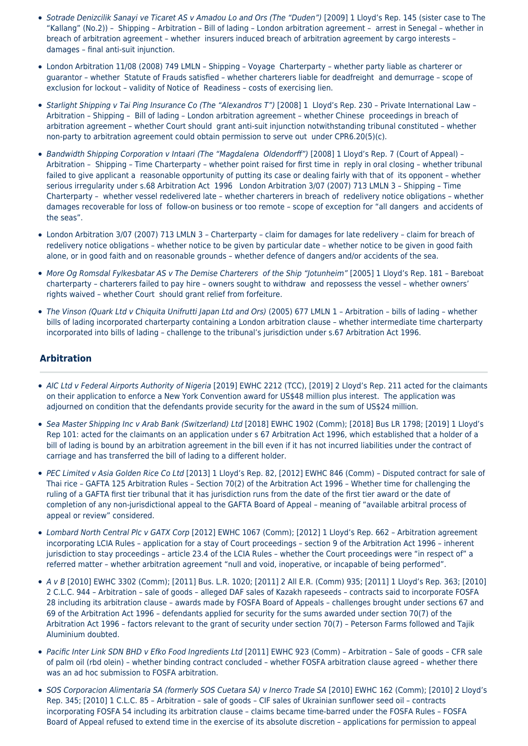- Sotrade Denizcilik Sanayi ve Ticaret AS v Amadou Lo and Ors (The "Duden") [2009] 1 Lloyd's Rep. 145 (sister case to The "Kallang" (No.2)) – Shipping – Arbitration – Bill of lading – London arbitration agreement – arrest in Senegal – whether in breach of arbitration agreement – whether insurers induced breach of arbitration agreement by cargo interests – damages – final anti-suit injunction.
- London Arbitration 11/08 (2008) 749 LMLN Shipping Voyage Charterparty whether party liable as charterer or guarantor – whether Statute of Frauds satisfied – whether charterers liable for deadfreight and demurrage – scope of exclusion for lockout – validity of Notice of Readiness – costs of exercising lien.
- Starlight Shipping v Tai Ping Insurance Co (The "Alexandros T") [2008] 1 Lloyd's Rep. 230 Private International Law -Arbitration – Shipping – Bill of lading – London arbitration agreement – whether Chinese proceedings in breach of arbitration agreement – whether Court should grant anti-suit injunction notwithstanding tribunal constituted – whether non-party to arbitration agreement could obtain permission to serve out under CPR6.20(5)(c).
- Bandwidth Shipping Corporation v Intaari (The "Magdalena Oldendorff") [2008] 1 Lloyd's Rep. 7 (Court of Appeal) Arbitration – Shipping – Time Charterparty – whether point raised for first time in reply in oral closing – whether tribunal failed to give applicant a reasonable opportunity of putting its case or dealing fairly with that of its opponent – whether serious irregularity under s.68 Arbitration Act 1996 London Arbitration 3/07 (2007) 713 LMLN 3 – Shipping – Time Charterparty – whether vessel redelivered late – whether charterers in breach of redelivery notice obligations – whether damages recoverable for loss of follow-on business or too remote – scope of exception for "all dangers and accidents of the seas".
- London Arbitration 3/07 (2007) 713 LMLN 3 Charterparty claim for damages for late redelivery claim for breach of redelivery notice obligations – whether notice to be given by particular date – whether notice to be given in good faith alone, or in good faith and on reasonable grounds – whether defence of dangers and/or accidents of the sea.
- More Og Romsdal Fylkesbatar AS v The Demise Charterers of the Ship "Jotunheim" [2005] 1 Lloyd's Rep. 181 Bareboat charterparty – charterers failed to pay hire – owners sought to withdraw and repossess the vessel – whether owners' rights waived – whether Court should grant relief from forfeiture.
- The Vinson (Quark Ltd v Chiquita Unifrutti Japan Ltd and Ors) (2005) 677 LMLN 1 Arbitration bills of lading whether bills of lading incorporated charterparty containing a London arbitration clause – whether intermediate time charterparty incorporated into bills of lading – challenge to the tribunal's jurisdiction under s.67 Arbitration Act 1996.

## **Arbitration**

- AIC Ltd v Federal Airports Authority of Nigeria [2019] EWHC 2212 (TCC), [2019] 2 Lloyd's Rep. 211 acted for the claimants on their application to enforce a New York Convention award for US\$48 million plus interest. The application was adjourned on condition that the defendants provide security for the award in the sum of US\$24 million.
- Sea Master Shipping Inc v Arab Bank (Switzerland) Ltd [2018] EWHC 1902 (Comm); [2018] Bus LR 1798; [2019] 1 Lloyd's Rep 101: acted for the claimants on an application under s 67 Arbitration Act 1996, which established that a holder of a bill of lading is bound by an arbitration agreement in the bill even if it has not incurred liabilities under the contract of carriage and has transferred the bill of lading to a different holder.
- PEC Limited v Asia Golden Rice Co Ltd [2013] 1 Lloyd's Rep. 82, [2012] EWHC 846 (Comm) Disputed contract for sale of Thai rice – GAFTA 125 Arbitration Rules – Section 70(2) of the Arbitration Act 1996 – Whether time for challenging the ruling of a GAFTA first tier tribunal that it has jurisdiction runs from the date of the first tier award or the date of completion of any non-jurisdictional appeal to the GAFTA Board of Appeal – meaning of "available arbitral process of appeal or review" considered.
- Lombard North Central Plc v GATX Corp [2012] EWHC 1067 (Comm); [2012] 1 Lloyd's Rep. 662 Arbitration agreement incorporating LCIA Rules – application for a stay of Court proceedings – section 9 of the Arbitration Act 1996 – inherent jurisdiction to stay proceedings – article 23.4 of the LCIA Rules – whether the Court proceedings were "in respect of" a referred matter – whether arbitration agreement "null and void, inoperative, or incapable of being performed".
- A v B [2010] EWHC 3302 (Comm); [2011] Bus. L.R. 1020; [2011] 2 All E.R. (Comm) 935; [2011] 1 Lloyd's Rep. 363; [2010] 2 C.L.C. 944 – Arbitration – sale of goods – alleged DAF sales of Kazakh rapeseeds – contracts said to incorporate FOSFA 28 including its arbitration clause – awards made by FOSFA Board of Appeals – challenges brought under sections 67 and 69 of the Arbitration Act 1996 – defendants applied for security for the sums awarded under section 70(7) of the Arbitration Act 1996 – factors relevant to the grant of security under section 70(7) – Peterson Farms followed and Tajik Aluminium doubted.
- Pacific Inter Link SDN BHD v Efko Food Ingredients Ltd [2011] EWHC 923 (Comm) Arbitration Sale of goods CFR sale of palm oil (rbd olein) – whether binding contract concluded – whether FOSFA arbitration clause agreed – whether there was an ad hoc submission to FOSFA arbitration.
- SOS Corporacion Alimentaria SA (formerly SOS Cuetara SA) v Inerco Trade SA [2010] EWHC 162 (Comm); [2010] 2 Lloyd's Rep. 345; [2010] 1 C.L.C. 85 – Arbitration – sale of goods – CIF sales of Ukrainian sunflower seed oil – contracts incorporating FOSFA 54 including its arbitration clause – claims became time-barred under the FOSFA Rules – FOSFA Board of Appeal refused to extend time in the exercise of its absolute discretion – applications for permission to appeal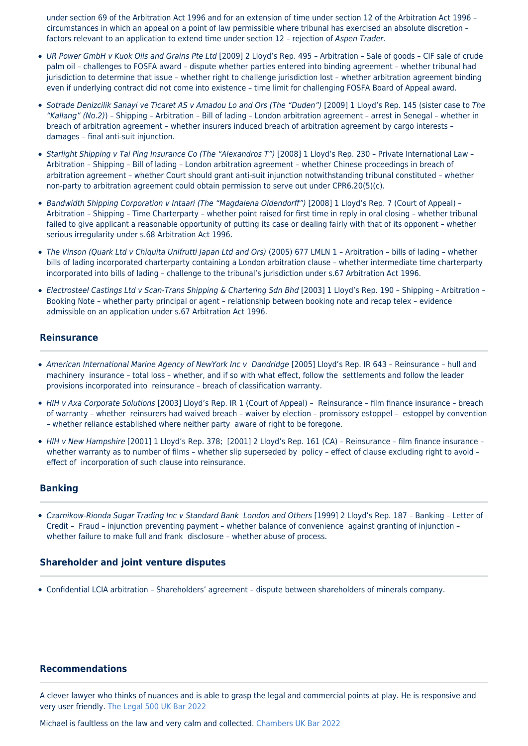under section 69 of the Arbitration Act 1996 and for an extension of time under section 12 of the Arbitration Act 1996 – circumstances in which an appeal on a point of law permissible where tribunal has exercised an absolute discretion – factors relevant to an application to extend time under section 12 – rejection of Aspen Trader.

- UR Power GmbH v Kuok Oils and Grains Pte Ltd [2009] 2 Lloyd's Rep. 495 Arbitration Sale of goods CIF sale of crude palm oil – challenges to FOSFA award – dispute whether parties entered into binding agreement – whether tribunal had jurisdiction to determine that issue – whether right to challenge jurisdiction lost – whether arbitration agreement binding even if underlying contract did not come into existence – time limit for challenging FOSFA Board of Appeal award.
- Sotrade Denizcilik Sanayi ve Ticaret AS v Amadou Lo and Ors (The "Duden") [2009] 1 Lloyd's Rep. 145 (sister case to The "Kallang" (No.2)) – Shipping – Arbitration – Bill of lading – London arbitration agreement – arrest in Senegal – whether in breach of arbitration agreement – whether insurers induced breach of arbitration agreement by cargo interests – damages – final anti-suit injunction.
- Starlight Shipping v Tai Ping Insurance Co (The "Alexandros T") [2008] 1 Lloyd's Rep. 230 Private International Law -Arbitration – Shipping – Bill of lading – London arbitration agreement – whether Chinese proceedings in breach of arbitration agreement – whether Court should grant anti-suit injunction notwithstanding tribunal constituted – whether non-party to arbitration agreement could obtain permission to serve out under CPR6.20(5)(c).
- Bandwidth Shipping Corporation v Intaari (The "Magdalena Oldendorff") [2008] 1 Lloyd's Rep. 7 (Court of Appeal) Arbitration – Shipping – Time Charterparty – whether point raised for first time in reply in oral closing – whether tribunal failed to give applicant a reasonable opportunity of putting its case or dealing fairly with that of its opponent – whether serious irregularity under s.68 Arbitration Act 1996.
- The Vinson (Quark Ltd v Chiquita Unifrutti Japan Ltd and Ors) (2005) 677 LMLN 1 Arbitration bills of lading whether bills of lading incorporated charterparty containing a London arbitration clause – whether intermediate time charterparty incorporated into bills of lading – challenge to the tribunal's jurisdiction under s.67 Arbitration Act 1996.
- Electrosteel Castings Ltd v Scan-Trans Shipping & Chartering Sdn Bhd [2003] 1 Lloyd's Rep. 190 Shipping Arbitration Booking Note – whether party principal or agent – relationship between booking note and recap telex – evidence admissible on an application under s.67 Arbitration Act 1996.

#### **Reinsurance**

- American International Marine Agency of NewYork Inc v Dandridge [2005] Lloyd's Rep. IR 643 Reinsurance hull and machinery insurance – total loss – whether, and if so with what effect, follow the settlements and follow the leader provisions incorporated into reinsurance – breach of classification warranty.
- HIH v Axa Corporate Solutions [2003] Lloyd's Rep. IR 1 (Court of Appeal) Reinsurance film finance insurance breach of warranty – whether reinsurers had waived breach – waiver by election – promissory estoppel – estoppel by convention – whether reliance established where neither party aware of right to be foregone.
- HIH v New Hampshire [2001] 1 Lloyd's Rep. 378; [2001] 2 Lloyd's Rep. 161 (CA) Reinsurance film finance insurance whether warranty as to number of films – whether slip superseded by policy – effect of clause excluding right to avoid – effect of incorporation of such clause into reinsurance.

#### **Banking**

Czarnikow-Rionda Sugar Trading Inc v Standard Bank London and Others [1999] 2 Lloyd's Rep. 187 – Banking – Letter of Credit – Fraud – injunction preventing payment – whether balance of convenience against granting of injunction – whether failure to make full and frank disclosure – whether abuse of process.

## **Shareholder and joint venture disputes**

Confidential LCIA arbitration – Shareholders' agreement – dispute between shareholders of minerals company.

#### **Recommendations**

A clever lawyer who thinks of nuances and is able to grasp the legal and commercial points at play. He is responsive and very user friendly. The Legal 500 UK Bar 2022

Michael is faultless on the law and very calm and collected. Chambers UK Bar 2022